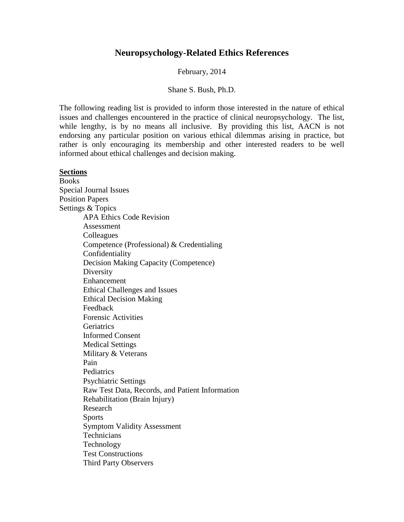# **Neuropsychology-Related Ethics References**

February, 2014

#### Shane S. Bush, Ph.D.

The following reading list is provided to inform those interested in the nature of ethical issues and challenges encountered in the practice of clinical neuropsychology. The list, while lengthy, is by no means all inclusive. By providing this list, AACN is not endorsing any particular position on various ethical dilemmas arising in practice, but rather is only encouraging its membership and other interested readers to be well informed about ethical challenges and decision making.

### **Sections**

Books Special Journal Issues Position Papers Settings & Topics APA Ethics Code Revision Assessment **Colleagues** Competence (Professional) & Credentialing Confidentiality Decision Making Capacity (Competence) **Diversity** Enhancement Ethical Challenges and Issues Ethical Decision Making Feedback Forensic Activities **Geriatrics** Informed Consent Medical Settings Military & Veterans Pain **Pediatrics** Psychiatric Settings Raw Test Data, Records, and Patient Information Rehabilitation (Brain Injury) Research **Sports** Symptom Validity Assessment **Technicians** Technology Test Constructions Third Party Observers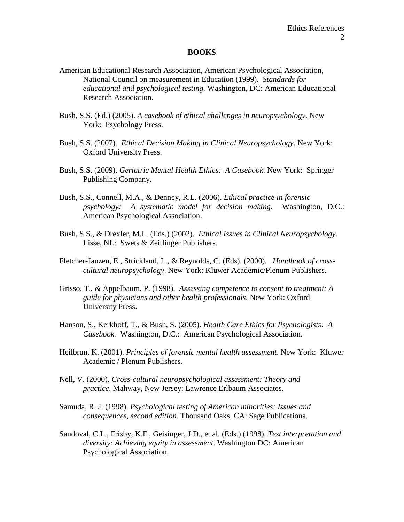#### **BOOKS**

- American Educational Research Association, American Psychological Association, National Council on measurement in Education (1999). *Standards for educational and psychological testing.* Washington, DC: American Educational Research Association.
- Bush, S.S. (Ed.) (2005). *A casebook of ethical challenges in neuropsychology*. New York: Psychology Press.
- Bush, S.S. (2007). *Ethical Decision Making in Clinical Neuropsychology*. New York: Oxford University Press.
- Bush, S.S. (2009). *Geriatric Mental Health Ethics: A Casebook*. New York: Springer Publishing Company.
- Bush, S.S., Connell, M.A., & Denney, R.L. (2006). *Ethical practice in forensic psychology: A systematic model for decision making*. Washington, D.C.: American Psychological Association.
- Bush, S.S., & Drexler, M.L. (Eds.) (2002). *Ethical Issues in Clinical Neuropsychology*. Lisse, NL: Swets & Zeitlinger Publishers.
- Fletcher-Janzen, E., Strickland, L., & Reynolds, C. (Eds). (2000). *Handbook of crosscultural neuropsychology*. New York: Kluwer Academic/Plenum Publishers.
- Grisso, T., & Appelbaum, P. (1998). *Assessing competence to consent to treatment: A guide for physicians and other health professionals*. New York: Oxford University Press.
- Hanson, S., Kerkhoff, T., & Bush, S. (2005). *Health Care Ethics for Psychologists: A Casebook.* Washington, D.C.: American Psychological Association.
- Heilbrun, K. (2001). *Principles of forensic mental health assessment*. New York: Kluwer Academic / Plenum Publishers.
- Nell, V. (2000). *Cross-cultural neuropsychological assessment: Theory and practice*. Mahway, New Jersey: Lawrence Erlbaum Associates.
- Samuda, R. J. (1998). *Psychological testing of American minorities: Issues and consequences, second edition*. Thousand Oaks, CA: Sage Publications.
- Sandoval, C.L., Frisby, K.F., Geisinger, J.D., et al. (Eds.) (1998). *Test interpretation and diversity: Achieving equity in assessment*. Washington DC: American Psychological Association.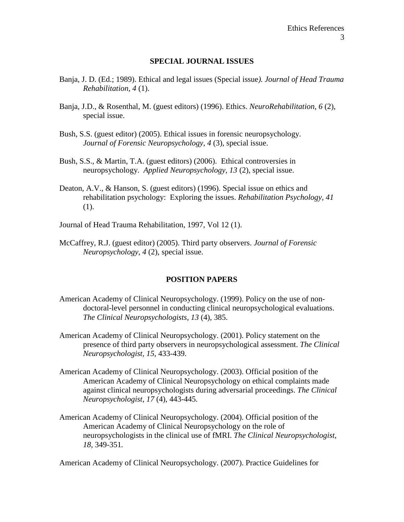#### **SPECIAL JOURNAL ISSUES**

- Banja, J. D. (Ed.; 1989). Ethical and legal issues (Special issue*). Journal of Head Trauma Rehabilitation, 4* (1).
- Banja, J.D., & Rosenthal, M. (guest editors) (1996). Ethics. *NeuroRehabilitation, 6* (2), special issue.
- Bush, S.S. (guest editor) (2005). Ethical issues in forensic neuropsychology. *Journal of Forensic Neuropsychology*, *4* (3), special issue.
- Bush, S.S., & Martin, T.A. (guest editors) (2006). Ethical controversies in neuropsychology. *Applied Neuropsychology, 13* (2), special issue.
- Deaton, A.V., & Hanson, S. (guest editors) (1996). Special issue on ethics and rehabilitation psychology: Exploring the issues. *Rehabilitation Psychology, 41* (1).
- Journal of Head Trauma Rehabilitation, 1997, Vol 12 (1).
- McCaffrey, R.J. (guest editor) (2005). Third party observers. *Journal of Forensic Neuropsychology*, *4* (2), special issue.

#### **POSITION PAPERS**

- American Academy of Clinical Neuropsychology. (1999). Policy on the use of nondoctoral-level personnel in conducting clinical neuropsychological evaluations. *The Clinical Neuropsychologists, 13* (4), 385.
- American Academy of Clinical Neuropsychology. (2001). Policy statement on the presence of third party observers in neuropsychological assessment. *The Clinical Neuropsychologist, 15*, 433-439.
- American Academy of Clinical Neuropsychology. (2003). Official position of the American Academy of Clinical Neuropsychology on ethical complaints made against clinical neuropsychologists during adversarial proceedings. *The Clinical Neuropsychologist, 17* (4), 443-445*.*
- American Academy of Clinical Neuropsychology. (2004). Official position of the American Academy of Clinical Neuropsychology on the role of neuropsychologists in the clinical use of fMRI. *The Clinical Neuropsychologist, 18*, 349-351*.*

American Academy of Clinical Neuropsychology. (2007). Practice Guidelines for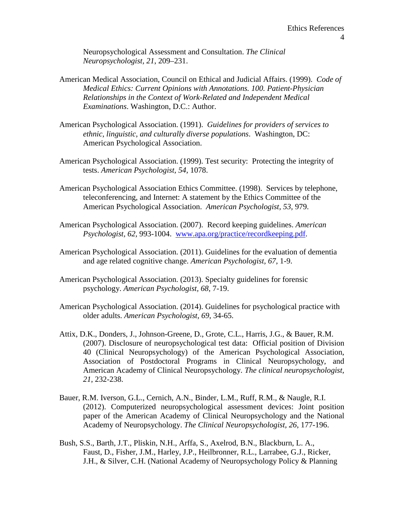Neuropsychological Assessment and Consultation. *The Clinical Neuropsychologist, 21*, 209–231.

- American Medical Association, Council on Ethical and Judicial Affairs. (1999). *Code of Medical Ethics: Current Opinions with Annotations. 100. Patient-Physician Relationships in the Context of Work-Related and Independent Medical Examinations*. Washington, D.C.: Author.
- American Psychological Association. (1991). *Guidelines for providers of services to ethnic, linguistic, and culturally diverse populations*. Washington, DC: American Psychological Association.
- American Psychological Association. (1999). Test security: Protecting the integrity of tests. *American Psychologist, 54,* 1078.
- American Psychological Association Ethics Committee. (1998). Services by telephone, teleconferencing, and Internet: A statement by the Ethics Committee of the American Psychological Association. *American Psychologist, 53,* 979.
- American Psychological Association. (2007). Record keeping guidelines. *American Psychologist, 62,* 993-1004. [www.apa.org/practice/recordkeeping.pdf.](http://www.apa.org/practice/recordkeeping.pdf)
- American Psychological Association. (2011). Guidelines for the evaluation of dementia and age related cognitive change. *American Psychologist, 67*, 1-9.
- American Psychological Association. (2013). Specialty guidelines for forensic psychology. *American Psychologist, 68*, 7-19.
- American Psychological Association. (2014). Guidelines for psychological practice with older adults. *American Psychologist, 69*, 34-65.
- Attix, D.K., Donders, J., Johnson-Greene, D., Grote, C.L., Harris, J.G., & Bauer, R.M. (2007). Disclosure of neuropsychological test data: Official position of Division 40 (Clinical Neuropsychology) of the American Psychological Association, Association of Postdoctoral Programs in Clinical Neuropsychology, and American Academy of Clinical Neuropsychology. *The clinical neuropsychologist, 21*, 232-238.
- Bauer, R.M. Iverson, G.L., Cernich, A.N., Binder, L.M., Ruff, R.M., & Naugle, R.I. (2012). Computerized neuropsychological assessment devices: Joint position paper of the American Academy of Clinical Neuropsychology and the National Academy of Neuropsychology. *The Clinical Neuropsychologist, 26*, 177-196.
- Bush, S.S., Barth, J.T., Pliskin, N.H., Arffa, S., Axelrod, B.N., Blackburn, L. A., Faust, D., Fisher, J.M., Harley, J.P., Heilbronner, R.L., Larrabee, G.J., Ricker, J.H., & Silver, C.H. (National Academy of Neuropsychology Policy & Planning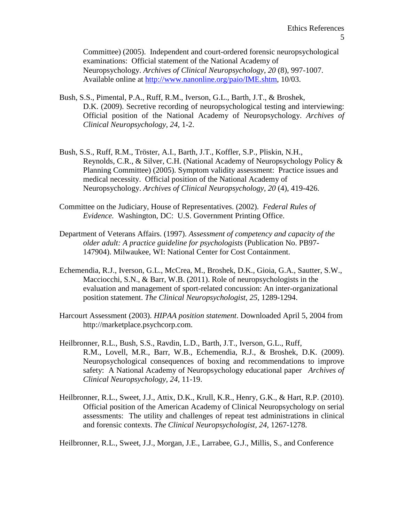Committee) (2005). Independent and court-ordered forensic neuropsychological examinations: Official statement of the National Academy of Neuropsychology. *Archives of Clinical Neuropsychology, 20* (8), 997-1007. Available online at [http://www.nanonline.org/paio/IME.shtm,](http://www.nanonline.org/paio/IME.shtm) 10/03.

- Bush, S.S., Pimental, P.A., Ruff, R.M., Iverson, G.L., Barth, J.T., & Broshek, D.K. (2009). Secretive recording of neuropsychological testing and interviewing: Official position of the National Academy of Neuropsychology. *Archives of Clinical Neuropsychology, 24,* 1-2.
- Bush, S.S., Ruff, R.M., Tröster, A.I., Barth, J.T., Koffler, S.P., Pliskin, N.H., Reynolds, C.R., & Silver, C.H. (National Academy of Neuropsychology Policy & Planning Committee) (2005). Symptom validity assessment: Practice issues and medical necessity. Official position of the National Academy of Neuropsychology. *Archives of Clinical Neuropsychology, 20* (4), 419-426.
- Committee on the Judiciary, House of Representatives. (2002). *Federal Rules of Evidence.* Washington, DC: U.S. Government Printing Office.
- Department of Veterans Affairs. (1997). *Assessment of competency and capacity of the older adult: A practice guideline for psychologists* (Publication No. PB97- 147904). Milwaukee, WI: National Center for Cost Containment.
- Echemendia, R.J., Iverson, G.L., McCrea, M., Broshek, D.K., Gioia, G.A., Sautter, S.W., Macciocchi, S.N., & Barr, W.B. (2011). Role of neuropsychologists in the evaluation and management of sport-related concussion: An inter-organizational position statement. *The Clinical Neuropsychologist, 25*, 1289-1294.
- Harcourt Assessment (2003). *HIPAA position statement*. Downloaded April 5, 2004 from http://marketplace.psychcorp.com.
- Heilbronner, R.L., Bush, S.S., Ravdin, L.D., Barth, J.T., Iverson, G.L., Ruff, R.M., Lovell, M.R., Barr, W.B., Echemendia, R.J., & Broshek, D.K. (2009). Neuropsychological consequences of boxing and recommendations to improve safety: A National Academy of Neuropsychology educational paper *Archives of Clinical Neuropsychology, 24,* 11-19.
- Heilbronner, R.L., Sweet, J.J., Attix, D.K., Krull, K.R., Henry, G.K., & Hart, R.P. (2010). Official position of the American Academy of Clinical Neuropsychology on serial assessments: The utility and challenges of repeat test administrations in clinical and forensic contexts. *The Clinical Neuropsychologist, 24*, 1267-1278.

Heilbronner, R.L., Sweet, J.J., Morgan, J.E., Larrabee, G.J., Millis, S., and Conference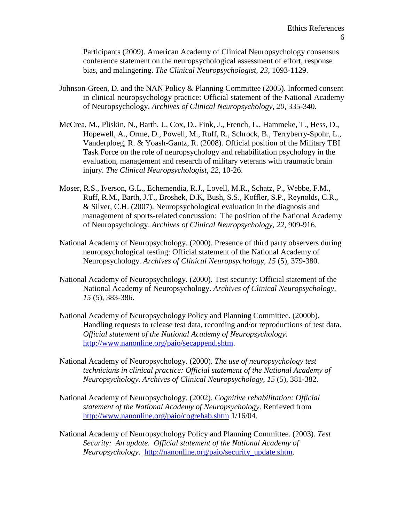Participants (2009). American Academy of Clinical Neuropsychology consensus conference statement on the neuropsychological assessment of effort, response bias, and malingering. *The Clinical Neuropsychologist, 23*, 1093-1129.

- Johnson-Green, D. and the NAN Policy & Planning Committee (2005). Informed consent in clinical neuropsychology practice: Official statement of the National Academy of Neuropsychology. *Archives of Clinical Neuropsychology, 20*, 335-340.
- McCrea, M., Pliskin, N., Barth, J., Cox, D., Fink, J., French, L., Hammeke, T., Hess, D., Hopewell, A., Orme, D., Powell, M., Ruff, R., Schrock, B., Terryberry-Spohr, L., Vanderploeg, R. & Yoash-Gantz, R. (2008). Official position of the Military TBI Task Force on the role of neuropsychology and rehabilitation psychology in the evaluation, management and research of military veterans with traumatic brain injury. *The Clinical Neuropsychologist, 22*, 10-26.
- Moser, R.S., Iverson, G.L., Echemendia, R.J., Lovell, M.R., Schatz, P., Webbe, F.M., Ruff, R.M., Barth, J.T., Broshek, D.K, Bush, S.S., Koffler, S.P., Reynolds, C.R., & Silver, C.H. (2007). Neuropsychological evaluation in the diagnosis and management of sports-related concussion: The position of the National Academy of Neuropsychology. *Archives of Clinical Neuropsychology, 22*, 909-916.
- National Academy of Neuropsychology. (2000). Presence of third party observers during neuropsychological testing: Official statement of the National Academy of Neuropsychology. *Archives of Clinical Neuropsychology, 15* (5), 379-380.
- National Academy of Neuropsychology. (2000). Test security: Official statement of the National Academy of Neuropsychology. *Archives of Clinical Neuropsychology, 15* (5), 383-386.
- National Academy of Neuropsychology Policy and Planning Committee. (2000b). Handling requests to release test data, recording and/or reproductions of test data. *Official statement of the National Academy of Neuropsychology*. [http://www.nanonline.org/paio/secappend.shtm.](http://www.nanonline.org/paio/secappend.shtm)
- National Academy of Neuropsychology. (2000). *The use of neuropsychology test technicians in clinical practice: Official statement of the National Academy of Neuropsychology*. *Archives of Clinical Neuropsychology, 15* (5), 381-382.
- National Academy of Neuropsychology. (2002). *Cognitive rehabilitation: Official statement of the National Academy of Neuropsychology*. Retrieved from <http://www.nanonline.org/paio/cogrehab.shtm> 1/16/04.
- National Academy of Neuropsychology Policy and Planning Committee. (2003). *Test Security: An update. Official statement of the National Academy of Neuropsychology*. [http://nanonline.org/paio/security\\_update.shtm.](http://nanonline.org/paio/security_update.shtm)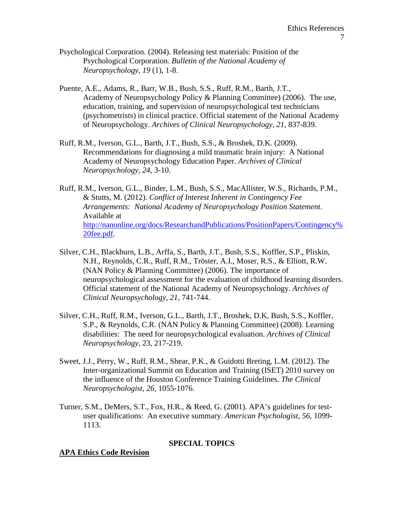- Psychological Corporation. (2004). Releasing test materials: Position of the Psychological Corporation. *Bulletin of the National Academy of Neuropsychology, 19* (1), 1-8.
- Puente, A.E., Adams, R., Barr, W.B., Bush, S.S., Ruff, R.M., Barth, J.T., Academy of Neuropsychology Policy & Planning Committee) (2006). The use, education, training, and supervision of neuropsychological test technicians (psychometrists) in clinical practice. Official statement of the National Academy of Neuropsychology. *Archives of Clinical Neuropsychology, 21,* 837-839.
- Ruff, R.M., Iverson, G.L., Barth, J.T., Bush, S.S., & Broshek, D.K. (2009). Recommendations for diagnosing a mild traumatic brain injury: A National Academy of Neuropsychology Education Paper. *Archives of Clinical Neuropsychology, 24*, 3-10.
- Ruff, R.M., Iverson, G.L., Binder, L.M., Bush, S.S., MacAllister, W.S., Richards, P.M., & Stutts, M. (2012). *Conflict of Interest Inherent in Contingency Fee Arrangements: National Academy of Neuropsychology Position Statement*. Available at [http://nanonline.org/docs/ResearchandPublications/PositionPapers/Contingency%](http://nanonline.org/docs/ResearchandPublications/PositionPapers/Contingency%20fee.pdf) [20fee.pdf.](http://nanonline.org/docs/ResearchandPublications/PositionPapers/Contingency%20fee.pdf)
- Silver, C.H., Blackburn, L.B., Arffa, S., Barth, J.T., Bush, S.S., Koffler, S.P., Pliskin, N.H., Reynolds, C.R., Ruff, R.M., Tröster, A.I., Moser, R.S., & Elliott, R.W. (NAN Policy & Planning Committee) (2006). The importance of neuropsychological assessment for the evaluation of childhood learning disorders. Official statement of the National Academy of Neuropsychology. *Archives of Clinical Neuropsychology, 21,* 741-744.
- Silver, C.H., Ruff, R.M., Iverson, G.L., Barth, J.T., Broshek, D.K, Bush, S.S., Koffler, S.P., & Reynolds, C.R. (NAN Policy & Planning Committee) (2008). Learning disabilities: The need for neuropsychological evaluation. *Archives of Clinical Neuropsychology*, 23, 217-219.
- Sweet, J.J., Perry, W., Ruff, R.M., Shear, P.K., & Guidotti Breting, L.M. (2012). The Inter-organizational Summit on Education and Training (ISET) 2010 survey on the influence of the Houston Conference Training Guidelines. *The Clinical Neuropsychologist, 26,* 1055-1076.
- Turner, S.M., DeMers, S.T., Fox, H.R., & Reed, G. (2001). APA's guidelines for testuser qualifications: An executive summary. *American Psychologist, 56*, 1099- 1113.

### **SPECIAL TOPICS**

### **APA Ethics Code Revision**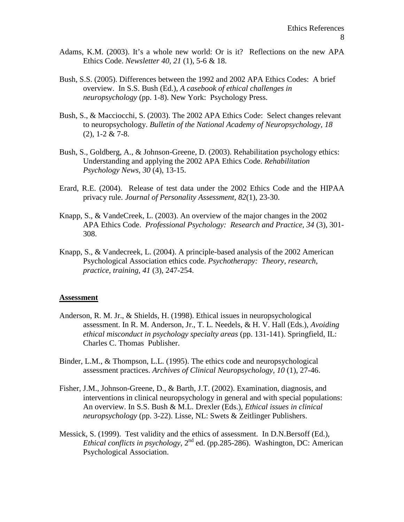- Adams, K.M. (2003). It's a whole new world: Or is it? Reflections on the new APA Ethics Code. *Newsletter 40, 21* (1), 5-6 & 18.
- Bush, S.S. (2005). Differences between the 1992 and 2002 APA Ethics Codes: A brief overview. In S.S. Bush (Ed.), *A casebook of ethical challenges in neuropsychology* (pp. 1-8). New York: Psychology Press.
- Bush, S., & Macciocchi, S. (2003). The 2002 APA Ethics Code: Select changes relevant to neuropsychology. *Bulletin of the National Academy of Neuropsychology, 18* (2), 1-2 & 7-8.
- Bush, S., Goldberg, A., & Johnson-Greene, D. (2003). Rehabilitation psychology ethics: Understanding and applying the 2002 APA Ethics Code. *Rehabilitation Psychology News, 30* (4), 13-15.
- Erard, R.E. (2004). Release of test data under the 2002 Ethics Code and the HIPAA privacy rule. *Journal of Personality Assessment, 82*(1), 23-30.
- Knapp, S., & VandeCreek, L. (2003). An overview of the major changes in the 2002 APA Ethics Code. *Professional Psychology: Research and Practice, 34* (3), 301- 308.
- Knapp, S., & Vandecreek, L. (2004). A principle-based analysis of the 2002 American Psychological Association ethics code. *Psychotherapy: Theory, research, practice, training, 41* (3), 247-254.

#### **Assessment**

- Anderson, R. M. Jr., & Shields, H. (1998). Ethical issues in neuropsychological assessment. In R. M. Anderson, Jr., T. L. Needels, & H. V. Hall (Eds.), *Avoiding ethical misconduct in psychology specialty areas* (pp. 131-141). Springfield, IL: Charles C. Thomas Publisher.
- Binder, L.M., & Thompson, L.L. (1995). The ethics code and neuropsychological assessment practices. *Archives of Clinical Neuropsychology, 10* (1), 27-46.
- Fisher, J.M., Johnson-Greene, D., & Barth, J.T. (2002). Examination, diagnosis, and interventions in clinical neuropsychology in general and with special populations: An overview. In S.S. Bush & M.L. Drexler (Eds.), *Ethical issues in clinical neuropsychology* (pp. 3-22). Lisse, NL: Swets & Zeitlinger Publishers.
- Messick, S. (1999). Test validity and the ethics of assessment. In D.N.Bersoff (Ed.), *Ethical conflicts in psychology*, 2nd ed. (pp.285-286). Washington, DC: American Psychological Association.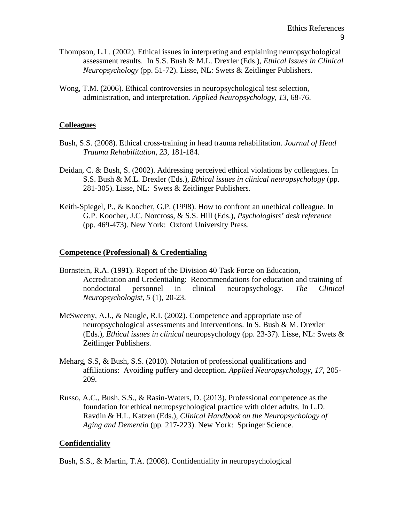- Thompson, L.L. (2002). Ethical issues in interpreting and explaining neuropsychological assessment results. In S.S. Bush & M.L. Drexler (Eds.), *Ethical Issues in Clinical Neuropsychology* (pp. 51-72). Lisse, NL: Swets & Zeitlinger Publishers.
- Wong, T.M. (2006). Ethical controversies in neuropsychological test selection, administration, and interpretation. *Applied Neuropsychology, 13*, 68-76.

### **Colleagues**

- Bush, S.S. (2008). Ethical cross-training in head trauma rehabilitation. *Journal of Head Trauma Rehabilitation, 23,* 181-184.
- Deidan, C. & Bush, S. (2002). Addressing perceived ethical violations by colleagues. In S.S. Bush & M.L. Drexler (Eds.), *Ethical issues in clinical neuropsychology* (pp. 281-305). Lisse, NL: Swets & Zeitlinger Publishers.
- Keith-Spiegel, P., & Koocher, G.P. (1998). How to confront an unethical colleague. In G.P. Koocher, J.C. Norcross, & S.S. Hill (Eds.), *Psychologists' desk reference* (pp. 469-473). New York: Oxford University Press.

# **Competence (Professional) & Credentialing**

- Bornstein, R.A. (1991). Report of the Division 40 Task Force on Education, Accreditation and Credentialing: Recommendations for education and training of nondoctoral personnel in clinical neuropsychology. *The Clinical Neuropsychologist, 5* (1), 20-23.
- McSweeny, A.J., & Naugle, R.I. (2002). Competence and appropriate use of neuropsychological assessments and interventions. In S. Bush & M. Drexler (Eds.), *Ethical issues in clinical* neuropsychology (pp. 23-37). Lisse, NL: Swets & Zeitlinger Publishers.
- Meharg, S.S, & Bush, S.S. (2010). Notation of professional qualifications and affiliations: Avoiding puffery and deception. *Applied Neuropsychology, 17,* 205- 209.
- Russo, A.C., Bush, S.S., & Rasin-Waters, D. (2013). Professional competence as the foundation for ethical neuropsychological practice with older adults. In L.D. Ravdin & H.L. Katzen (Eds.), *Clinical Handbook on the Neuropsychology of Aging and Dementia* (pp. 217-223). New York: Springer Science.

# **Confidentiality**

Bush, S.S., & Martin, T.A. (2008). Confidentiality in neuropsychological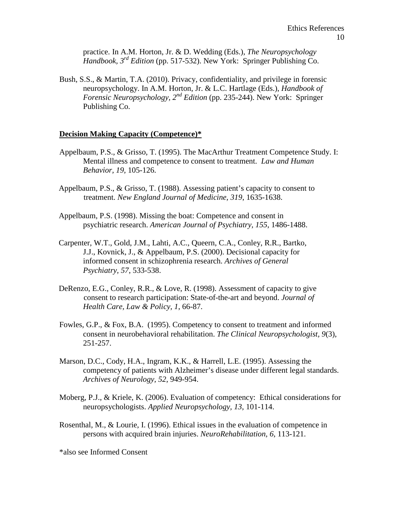practice. In A.M. Horton, Jr. & D. Wedding (Eds.), *The Neuropsychology Handbook, 3rd Edition* (pp. 517-532). New York: Springer Publishing Co.

Bush, S.S., & Martin, T.A. (2010). Privacy, confidentiality, and privilege in forensic neuropsychology. In A.M. Horton, Jr. & L.C. Hartlage (Eds.), *Handbook of Forensic Neuropsychology, 2nd Edition* (pp. 235-244). New York: Springer Publishing Co.

# **Decision Making Capacity (Competence)\***

- Appelbaum, P.S., & Grisso, T. (1995). The MacArthur Treatment Competence Study. I: Mental illness and competence to consent to treatment. *Law and Human Behavior, 19,* 105-126.
- Appelbaum, P.S., & Grisso, T. (1988). Assessing patient's capacity to consent to treatment. *New England Journal of Medicine, 319*, 1635-1638.
- Appelbaum, P.S. (1998). Missing the boat: Competence and consent in psychiatric research. *American Journal of Psychiatry, 155*, 1486-1488.
- Carpenter, W.T., Gold, J.M., Lahti, A.C., Queern, C.A., Conley, R.R., Bartko, J.J., Kovnick, J., & Appelbaum, P.S. (2000). Decisional capacity for informed consent in schizophrenia research. *Archives of General Psychiatry, 57*, 533-538.
- DeRenzo, E.G., Conley, R.R., & Love, R. (1998). Assessment of capacity to give consent to research participation: State-of-the-art and beyond. *Journal of Health Care, Law & Policy, 1*, 66-87.
- Fowles, G.P., & Fox, B.A. (1995). Competency to consent to treatment and informed consent in neurobehavioral rehabilitation. *The Clinical Neuropsychologist, 9*(3), 251-257.
- Marson, D.C., Cody, H.A., Ingram, K.K., & Harrell, L.E. (1995). Assessing the competency of patients with Alzheimer's disease under different legal standards. *Archives of Neurology, 52*, 949-954.
- Moberg, P.J., & Kriele, K. (2006). Evaluation of competency: Ethical considerations for neuropsychologists. *Applied Neuropsychology, 13*, 101-114.
- Rosenthal, M., & Lourie, I. (1996). Ethical issues in the evaluation of competence in persons with acquired brain injuries. *NeuroRehabilitation, 6*, 113-121.

\*also see Informed Consent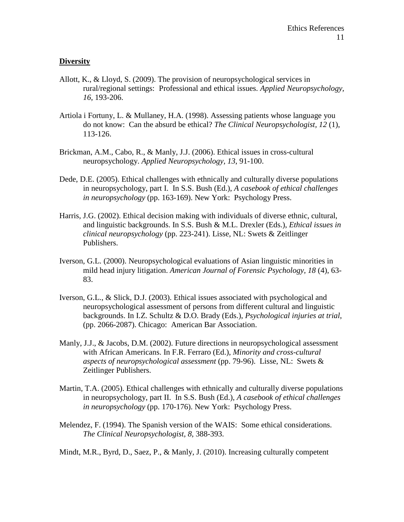# **Diversity**

- Allott, K., & Lloyd, S. (2009). The provision of neuropsychological services in rural/regional settings: Professional and ethical issues. *Applied Neuropsychology, 16*, 193-206.
- Artiola i Fortuny, L. & Mullaney, H.A. (1998). Assessing patients whose language you do not know: Can the absurd be ethical? *The Clinical Neuropsychologist, 12* (1), 113-126.
- Brickman, A.M., Cabo, R., & Manly, J.J. (2006). Ethical issues in cross-cultural neuropsychology. *Applied Neuropsychology, 13*, 91-100.
- Dede, D.E. (2005). Ethical challenges with ethnically and culturally diverse populations in neuropsychology, part I. In S.S. Bush (Ed.), *A casebook of ethical challenges in neuropsychology* (pp. 163-169). New York: Psychology Press.
- Harris, J.G. (2002). Ethical decision making with individuals of diverse ethnic, cultural, and linguistic backgrounds. In S.S. Bush & M.L. Drexler (Eds.), *Ethical issues in clinical neuropsychology* (pp. 223-241). Lisse, NL: Swets & Zeitlinger Publishers.
- Iverson, G.L. (2000). Neuropsychological evaluations of Asian linguistic minorities in mild head injury litigation. *American Journal of Forensic Psychology, 18* (4), 63- 83.
- Iverson, G.L., & Slick, D.J. (2003). Ethical issues associated with psychological and neuropsychological assessment of persons from different cultural and linguistic backgrounds. In I.Z. Schultz & D.O. Brady (Eds.), *Psychological injuries at trial*, (pp. 2066-2087). Chicago: American Bar Association.
- Manly, J.J., & Jacobs, D.M. (2002). Future directions in neuropsychological assessment with African Americans. In F.R. Ferraro (Ed.), *Minority and cross-cultural aspects of neuropsychological assessment* (pp. 79-96). Lisse, NL: Swets & Zeitlinger Publishers.
- Martin, T.A. (2005). Ethical challenges with ethnically and culturally diverse populations in neuropsychology, part II. In S.S. Bush (Ed.), *A casebook of ethical challenges in neuropsychology* (pp. 170-176). New York: Psychology Press.
- Melendez, F. (1994). The Spanish version of the WAIS: Some ethical considerations. *The Clinical Neuropsychologist, 8*, 388-393.

Mindt, M.R., Byrd, D., Saez, P., & Manly, J. (2010). Increasing culturally competent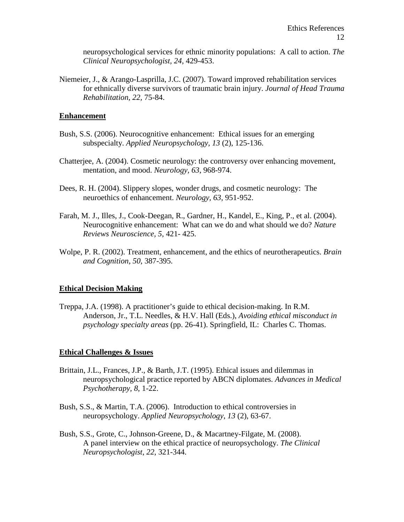neuropsychological services for ethnic minority populations: A call to action. *The Clinical Neuropsychologist, 24*, 429-453.

Niemeier, J., & Arango-Lasprilla, J.C. (2007). Toward improved rehabilitation services for ethnically diverse survivors of traumatic brain injury. *Journal of Head Trauma Rehabilitation, 22,* 75-84.

#### **Enhancement**

- Bush, S.S. (2006). Neurocognitive enhancement: Ethical issues for an emerging subspecialty. *Applied Neuropsychology, 13* (2), 125-136.
- Chatterjee, A. (2004). Cosmetic neurology: the controversy over enhancing movement, mentation, and mood. *Neurology, 63*, 968-974.
- Dees, R. H. (2004). Slippery slopes, wonder drugs, and cosmetic neurology: The neuroethics of enhancement. *Neurology, 63*, 951-952.
- Farah, M. J., Illes, J., Cook-Deegan, R., Gardner, H., Kandel, E., King, P., et al. (2004). Neurocognitive enhancement: What can we do and what should we do? *Nature Reviews Neuroscience, 5*, 421- 425.
- Wolpe, P. R. (2002). Treatment, enhancement, and the ethics of neurotherapeutics. *Brain and Cognition, 50*, 387-395.

### **Ethical Decision Making**

Treppa, J.A. (1998). A practitioner's guide to ethical decision-making. In R.M. Anderson, Jr., T.L. Needles, & H.V. Hall (Eds.), *Avoiding ethical misconduct in psychology specialty areas* (pp. 26-41). Springfield, IL: Charles C. Thomas.

### **Ethical Challenges & Issues**

- Brittain, J.L., Frances, J.P., & Barth, J.T. (1995). Ethical issues and dilemmas in neuropsychological practice reported by ABCN diplomates. *Advances in Medical Psychotherapy, 8*, 1-22.
- Bush, S.S., & Martin, T.A. (2006). Introduction to ethical controversies in neuropsychology. *Applied Neuropsychology*, *13* (2), 63-67.
- Bush, S.S., Grote, C., Johnson-Greene, D., & Macartney-Filgate, M. (2008). A panel interview on the ethical practice of neuropsychology. *The Clinical Neuropsychologist*, *22*, 321-344.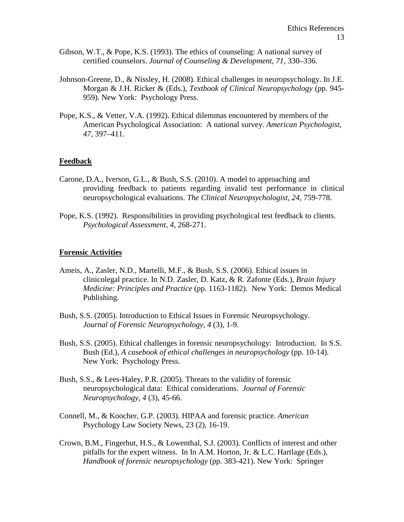- Gibson, W.T., & Pope, K.S. (1993). The ethics of counseling: A national survey of certified counselors. *Journal of Counseling & Development*, *71*, 330–336.
- Johnson-Greene, D., & Nissley, H. (2008). Ethical challenges in neuropsychology. In J.E. Morgan & J.H. Ricker & (Eds.), *Textbook of Clinical Neuropsychology* (pp. 945- 959). New York: Psychology Press.
- Pope, K.S., & Vetter, V.A. (1992). Ethical dilemmas encountered by members of the American Psychological Association: A national survey. *American Psychologist, 47*, 397–411.

#### **Feedback**

- Carone, D.A., Iverson, G.L., & Bush, S.S. (2010). A model to approaching and providing feedback to patients regarding invalid test performance in clinical neuropsychological evaluations. *The Clinical Neuropsychologist*, *24*, 759-778.
- Pope, K.S. (1992). Responsibilities in providing psychological test feedback to clients. *Psychological Assessment, 4*, 268-271.

#### **Forensic Activities**

- Ameis, A., Zasler, N.D., Martelli, M.F., & Bush, S.S. (2006). Ethical issues in clinicolegal practice. In N.D. Zasler, D. Katz, & R. Zafonte (Eds.), *Brain Injury Medicine: Principles and Practice* (pp. 1163-1182). New York: Demos Medical Publishing.
- Bush, S.S. (2005). Introduction to Ethical Issues in Forensic Neuropsychology. *Journal of Forensic Neuropsychology, 4* (3), 1-9.
- Bush, S.S. (2005). Ethical challenges in forensic neuropsychology: Introduction. In S.S. Bush (Ed.), *A casebook of ethical challenges in neuropsychology* (pp. 10-14). New York: Psychology Press.
- Bush, S.S., & Lees-Haley, P.R. (2005). Threats to the validity of forensic neuropsychological data: Ethical considerations. *Journal of Forensic Neuropsychology, 4* (3), 45-66.
- Connell, M., & Koocher, G.P. (2003). HIPAA and forensic practice. *American*  Psychology Law Society News, 23 (2), 16-19.
- Crown, B.M., Fingerhut, H.S., & Lowenthal, S.J. (2003). Conflicts of interest and other pitfalls for the expert witness. In In A.M. Horton, Jr. & L.C. Hartlage (Eds.), *Handbook of forensic neuropsychology* (pp. 383-421). New York: Springer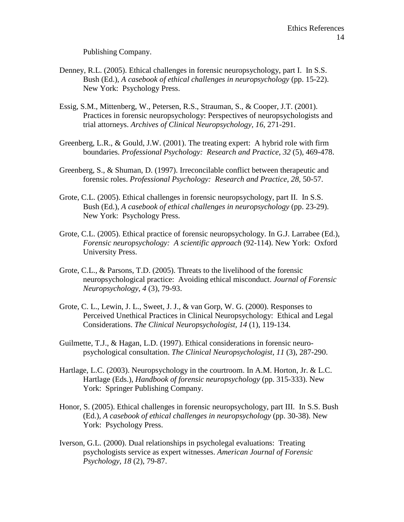Publishing Company.

- Denney, R.L. (2005). Ethical challenges in forensic neuropsychology, part I. In S.S. Bush (Ed.), *A casebook of ethical challenges in neuropsychology* (pp. 15-22). New York: Psychology Press.
- Essig, S.M., Mittenberg, W., Petersen, R.S., Strauman, S., & Cooper, J.T. (2001). Practices in forensic neuropsychology: Perspectives of neuropsychologists and trial attorneys. *Archives of Clinical Neuropsychology, 16*, 271-291.
- Greenberg, L.R., & Gould, J.W. (2001). The treating expert: A hybrid role with firm boundaries. *Professional Psychology: Research and Practice, 32* (5), 469-478.
- Greenberg, S., & Shuman, D. (1997). Irreconcilable conflict between therapeutic and forensic roles. *Professional Psychology: Research and Practice, 28*, 50-57.
- Grote, C.L. (2005). Ethical challenges in forensic neuropsychology, part II. In S.S. Bush (Ed.), *A casebook of ethical challenges in neuropsychology* (pp. 23-29). New York: Psychology Press.
- Grote, C.L. (2005). Ethical practice of forensic neuropsychology. In G.J. Larrabee (Ed.), *Forensic neuropsychology: A scientific approach* (92-114). New York: Oxford University Press.
- Grote, C.L., & Parsons, T.D. (2005). Threats to the livelihood of the forensic neuropsychological practice: Avoiding ethical misconduct. *Journal of Forensic Neuropsychology, 4* (3), 79-93.
- Grote, C. L., Lewin, J. L., Sweet, J. J., & van Gorp, W. G. (2000). Responses to Perceived Unethical Practices in Clinical Neuropsychology: Ethical and Legal Considerations. *The Clinical Neuropsychologist, 14* (1), 119-134.
- Guilmette, T.J., & Hagan, L.D. (1997). Ethical considerations in forensic neuropsychological consultation. *The Clinical Neuropsychologist, 11* (3), 287-290.
- Hartlage, L.C. (2003). Neuropsychology in the courtroom. In A.M. Horton, Jr. & L.C. Hartlage (Eds.), *Handbook of forensic neuropsychology* (pp. 315-333). New York: Springer Publishing Company.
- Honor, S. (2005). Ethical challenges in forensic neuropsychology, part III. In S.S. Bush (Ed.), *A casebook of ethical challenges in neuropsychology* (pp. 30-38). New York: Psychology Press.
- Iverson, G.L. (2000). Dual relationships in psycholegal evaluations: Treating psychologists service as expert witnesses. *American Journal of Forensic Psychology, 18* (2), 79-87.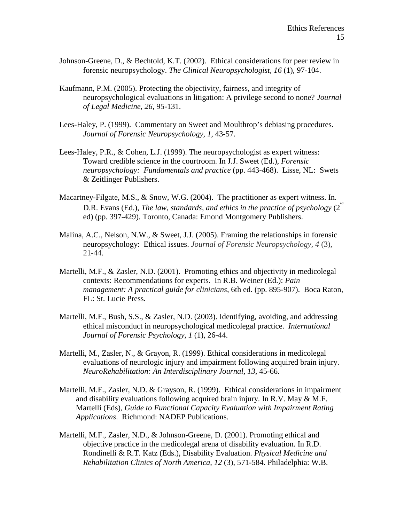- Johnson-Greene, D., & Bechtold, K.T. (2002). Ethical considerations for peer review in forensic neuropsychology. *The Clinical Neuropsychologist, 16* (1), 97-104.
- Kaufmann, P.M. (2005). Protecting the objectivity, fairness, and integrity of neuropsychological evaluations in litigation: A privilege second to none? *Journal of Legal Medicine, 26*, 95-131.
- Lees-Haley, P. (1999). Commentary on Sweet and Moulthrop's debiasing procedures. *Journal of Forensic Neuropsychology, 1*, 43-57.
- Lees-Haley, P.R., & Cohen, L.J. (1999). The neuropsychologist as expert witness: Toward credible science in the courtroom. In J.J. Sweet (Ed.), *Forensic neuropsychology: Fundamentals and practice* (pp. 443-468). Lisse, NL: Swets & Zeitlinger Publishers.
- Macartney-Filgate, M.S., & Snow, W.G. (2004). The practitioner as expert witness. In. D.R. Evans (Ed.), *The law, standards, and ethics in the practice of psychology* (2<sup>nd</sup>) ed) (pp. 397-429). Toronto, Canada: Emond Montgomery Publishers.
- Malina, A.C., Nelson, N.W., & Sweet, J.J. (2005). Framing the relationships in forensic neuropsychology: Ethical issues. *Journal of Forensic Neuropsychology, 4* (3), 21-44.
- Martelli, M.F., & Zasler, N.D. (2001). Promoting ethics and objectivity in medicolegal contexts: Recommendations for experts. In R.B. Weiner (Ed.): *Pain management: A practical guide for clinicians*, 6th ed. (pp. 895-907). Boca Raton, FL: St. Lucie Press.
- Martelli, M.F., Bush, S.S., & Zasler, N.D. (2003). Identifying, avoiding, and addressing ethical misconduct in neuropsychological medicolegal practice. *International Journal of Forensic Psychology, 1* (1), 26-44.
- Martelli, M., Zasler, N., & Grayon, R. (1999). Ethical considerations in medicolegal evaluations of neurologic injury and impairment following acquired brain injury. *NeuroRehabilitation: An Interdisciplinary Journal, 13*, 45-66.
- Martelli, M.F., Zasler, N.D. & Grayson, R. (1999). Ethical considerations in impairment and disability evaluations following acquired brain injury. In R.V. May & M.F. Martelli (Eds), *Guide to Functional Capacity Evaluation with Impairment Rating Applications*. Richmond: NADEP Publications.
- Martelli, M.F., Zasler, N.D., & Johnson-Greene, D. (2001). Promoting ethical and objective practice in the medicolegal arena of disability evaluation. In R.D. Rondinelli & R.T. Katz (Eds.), Disability Evaluation. *Physical Medicine and Rehabilitation Clinics of North America, 12* (3), 571-584. Philadelphia: W.B.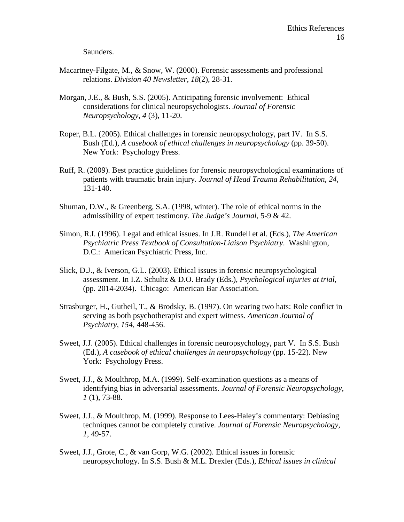Saunders.

- Macartney-Filgate, M., & Snow, W. (2000). Forensic assessments and professional relations. *Division 40 Newsletter, 18*(2), 28-31.
- Morgan, J.E., & Bush, S.S. (2005). Anticipating forensic involvement: Ethical considerations for clinical neuropsychologists. *Journal of Forensic Neuropsychology, 4* (3), 11-20.
- Roper, B.L. (2005). Ethical challenges in forensic neuropsychology, part IV. In S.S. Bush (Ed.), *A casebook of ethical challenges in neuropsychology* (pp. 39-50). New York: Psychology Press.
- Ruff, R. (2009). Best practice guidelines for forensic neuropsychological examinations of patients with traumatic brain injury. *Journal of Head Trauma Rehabilitation, 24,* 131-140.
- Shuman, D.W., & Greenberg, S.A. (1998, winter). The role of ethical norms in the admissibility of expert testimony. *The Judge's Journal*, 5-9 & 42.
- Simon, R.I. (1996). Legal and ethical issues. In J.R. Rundell et al. (Eds.), *The American Psychiatric Press Textbook of Consultation-Liaison Psychiatry*. Washington, D.C.: American Psychiatric Press, Inc.
- Slick, D.J., & Iverson, G.L. (2003). Ethical issues in forensic neuropsychological assessment. In I.Z. Schultz & D.O. Brady (Eds.), *Psychological injuries at trial*, (pp. 2014-2034). Chicago: American Bar Association.
- Strasburger, H., Gutheil, T., & Brodsky, B. (1997). On wearing two hats: Role conflict in serving as both psychotherapist and expert witness. *American Journal of Psychiatry, 154*, 448-456.
- Sweet, J.J. (2005). Ethical challenges in forensic neuropsychology, part V. In S.S. Bush (Ed.), *A casebook of ethical challenges in neuropsychology* (pp. 15-22). New York: Psychology Press.
- Sweet, J.J., & Moulthrop, M.A. (1999). Self-examination questions as a means of identifying bias in adversarial assessments. *Journal of Forensic Neuropsychology, 1* (1), 73-88.
- Sweet, J.J., & Moulthrop, M. (1999). Response to Lees-Haley's commentary: Debiasing techniques cannot be completely curative. *Journal of Forensic Neuropsychology, 1*, 49-57.
- Sweet, J.J., Grote, C., & van Gorp, W.G. (2002). Ethical issues in forensic neuropsychology. In S.S. Bush & M.L. Drexler (Eds.), *Ethical issues in clinical*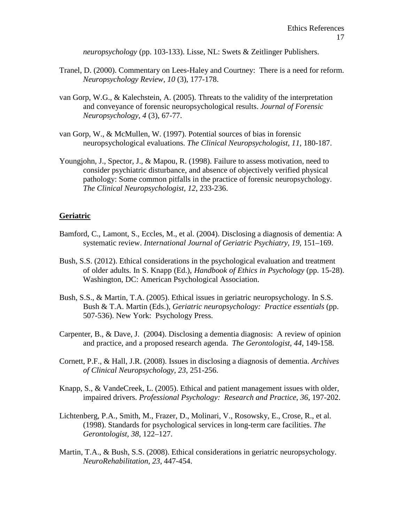*neuropsychology* (pp. 103-133). Lisse, NL: Swets & Zeitlinger Publishers.

- Tranel, D. (2000). Commentary on Lees-Haley and Courtney: There is a need for reform. *Neuropsychology Review, 10* (3), 177-178.
- van Gorp, W.G., & Kalechstein, A. (2005). Threats to the validity of the interpretation and conveyance of forensic neuropsychological results. *Journal of Forensic Neuropsychology, 4* (3), 67-77.
- van Gorp, W., & McMullen, W. (1997). Potential sources of bias in forensic neuropsychological evaluations. *The Clinical Neuropsychologist, 11*, 180-187.
- Youngjohn, J., Spector, J., & Mapou, R. (1998). Failure to assess motivation, need to consider psychiatric disturbance, and absence of objectively verified physical pathology: Some common pitfalls in the practice of forensic neuropsychology. *The Clinical Neuropsychologist, 12*, 233-236.

### **Geriatric**

- Bamford, C., Lamont, S., Eccles, M., et al. (2004). Disclosing a diagnosis of dementia: A systematic review. *International Journal of Geriatric Psychiatry*, *19,* 151–169.
- Bush, S.S. (2012). Ethical considerations in the psychological evaluation and treatment of older adults. In S. Knapp (Ed.), *Handbook of Ethics in Psychology* (pp. 15-28). Washington, DC: American Psychological Association.
- Bush, S.S., & Martin, T.A. (2005). Ethical issues in geriatric neuropsychology. In S.S. Bush & T.A. Martin (Eds.), *Geriatric neuropsychology: Practice essentials* (pp. 507-536). New York: Psychology Press.
- Carpenter, B., & Dave, J. (2004). Disclosing a dementia diagnosis: A review of opinion and practice, and a proposed research agenda. *The Gerontologist, 44*, 149-158.
- Cornett, P.F., & Hall, J.R. (2008). Issues in disclosing a diagnosis of dementia. *Archives of Clinical Neuropsychology, 23*, 251-256.
- Knapp, S., & VandeCreek, L. (2005). Ethical and patient management issues with older, impaired drivers. *Professional Psychology: Research and Practice, 36*, 197-202.
- Lichtenberg, P.A., Smith, M., Frazer, D., Molinari, V., Rosowsky, E., Crose, R., et al. (1998). Standards for psychological services in long-term care facilities. *The Gerontologist, 38*, 122–127.
- Martin, T.A., & Bush, S.S. (2008). Ethical considerations in geriatric neuropsychology. *NeuroRehabilitation, 23*, 447-454.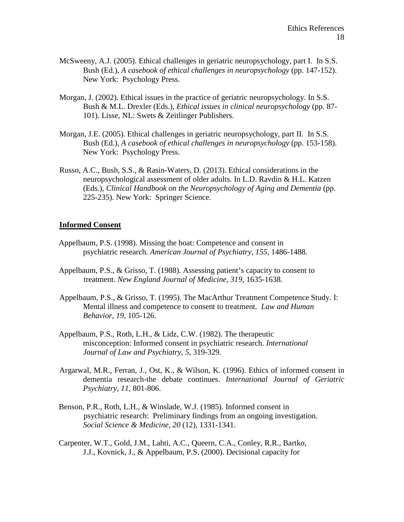- McSweeny, A.J. (2005). Ethical challenges in geriatric neuropsychology, part I. In S.S. Bush (Ed.), *A casebook of ethical challenges in neuropsychology* (pp. 147-152). New York: Psychology Press.
- Morgan, J. (2002). Ethical issues in the practice of geriatric neuropsychology. In S.S. Bush & M.L. Drexler (Eds.), *Ethical issues in clinical neuropsychology* (pp. 87- 101). Lisse, NL: Swets & Zeitlinger Publishers.
- Morgan, J.E. (2005). Ethical challenges in geriatric neuropsychology, part II. In S.S. Bush (Ed.), *A casebook of ethical challenges in neuropsychology* (pp. 153-158). New York: Psychology Press.
- Russo, A.C., Bush, S.S., & Rasin-Waters, D. (2013). Ethical considerations in the neuropsychological assessment of older adults. In L.D. Ravdin & H.L. Katzen (Eds.), *Clinical Handbook on the Neuropsychology of Aging and Dementia* (pp. 225-235). New York: Springer Science.

#### **Informed Consent**

- Appelbaum, P.S. (1998). Missing the boat: Competence and consent in psychiatric research. *American Journal of Psychiatry, 155*, 1486-1488.
- Appelbaum, P.S., & Grisso, T. (1988). Assessing patient's capacity to consent to treatment. *New England Journal of Medicine, 319*, 1635-1638.
- Appelbaum, P.S., & Grisso, T. (1995). The MacArthur Treatment Competence Study. I: Mental illness and competence to consent to treatment. *Law and Human Behavior, 19,* 105-126.
- Appelbaum, P.S., Roth, L.H., & Lidz, C.W. (1982). The therapeutic misconception: Informed consent in psychiatric research. *International Journal of Law and Psychiatry, 5*, 319-329.
- Argarwal, M.R., Ferran, J., Ost, K., & Wilson, K. (1996). Ethics of informed consent in dementia research-the debate continues. *International Journal of Geriatric Psychiatry, 11,* 801-806.
- Benson, P.R., Roth, L.H., & Winslade, W.J. (1985). Informed consent in psychiatric research: Preliminary findings from an ongoing investigation. *Social Science & Medicine, 20* (12), 1331-1341.
- Carpenter, W.T., Gold, J.M., Lahti, A.C., Queern, C.A., Conley, R.R., Bartko, J.J., Kovnick, J., & Appelbaum, P.S. (2000). Decisional capacity for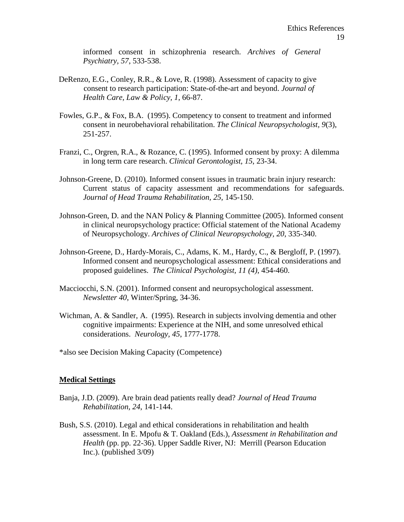informed consent in schizophrenia research. *Archives of General Psychiatry, 57*, 533-538.

- DeRenzo, E.G., Conley, R.R., & Love, R. (1998). Assessment of capacity to give consent to research participation: State-of-the-art and beyond. *Journal of Health Care, Law & Policy, 1*, 66-87.
- Fowles, G.P., & Fox, B.A. (1995). Competency to consent to treatment and informed consent in neurobehavioral rehabilitation. *The Clinical Neuropsychologist, 9*(3), 251-257.
- Franzi, C., Orgren, R.A., & Rozance, C. (1995). Informed consent by proxy: A dilemma in long term care research. *Clinical Gerontologist, 15*, 23-34.
- Johnson-Greene, D. (2010). Informed consent issues in traumatic brain injury research: Current status of capacity assessment and recommendations for safeguards. *Journal of Head Trauma Rehabilitation, 25,* 145-150.
- Johnson-Green, D. and the NAN Policy & Planning Committee (2005). Informed consent in clinical neuropsychology practice: Official statement of the National Academy of Neuropsychology. *Archives of Clinical Neuropsychology, 20*, 335-340.
- Johnson-Greene, D., Hardy-Morais, C., Adams, K. M., Hardy, C., & Bergloff, P. (1997). Informed consent and neuropsychological assessment: Ethical considerations and proposed guidelines. *The Clinical Psychologist, 11 (4)*, 454-460.
- Macciocchi, S.N. (2001). Informed consent and neuropsychological assessment. *Newsletter 40*, Winter/Spring, 34-36.
- Wichman, A. & Sandler, A. (1995). Research in subjects involving dementia and other cognitive impairments: Experience at the NIH, and some unresolved ethical considerations. *Neurology, 45*, 1777-1778.
- \*also see Decision Making Capacity (Competence)

### **Medical Settings**

- Banja, J.D. (2009). Are brain dead patients really dead? *Journal of Head Trauma Rehabilitation, 24*, 141-144.
- Bush, S.S. (2010). Legal and ethical considerations in rehabilitation and health assessment. In E. Mpofu & T. Oakland (Eds.), *Assessment in Rehabilitation and Health* (pp. pp. 22-36). Upper Saddle River, NJ: Merrill (Pearson Education Inc.). (published 3/09)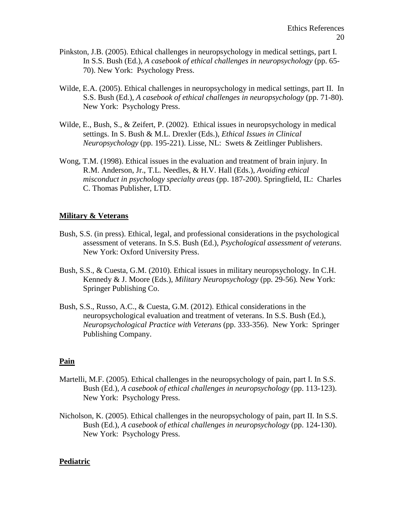- Pinkston, J.B. (2005). Ethical challenges in neuropsychology in medical settings, part I. In S.S. Bush (Ed.), *A casebook of ethical challenges in neuropsychology* (pp. 65- 70). New York: Psychology Press.
- Wilde, E.A. (2005). Ethical challenges in neuropsychology in medical settings, part II. In S.S. Bush (Ed.), *A casebook of ethical challenges in neuropsychology* (pp. 71-80). New York: Psychology Press.
- Wilde, E., Bush, S., & Zeifert, P. (2002). Ethical issues in neuropsychology in medical settings. In S. Bush & M.L. Drexler (Eds.), *Ethical Issues in Clinical Neuropsychology* (pp. 195-221). Lisse, NL: Swets & Zeitlinger Publishers.
- Wong, T.M. (1998). Ethical issues in the evaluation and treatment of brain injury. In R.M. Anderson, Jr., T.L. Needles, & H.V. Hall (Eds.), *Avoiding ethical misconduct in psychology specialty areas* (pp. 187-200). Springfield, IL: Charles C. Thomas Publisher, LTD.

# **Military & Veterans**

- Bush, S.S. (in press). Ethical, legal, and professional considerations in the psychological assessment of veterans. In S.S. Bush (Ed.), *Psychological assessment of veterans*. New York: Oxford University Press.
- Bush, S.S., & Cuesta, G.M. (2010). Ethical issues in military neuropsychology. In C.H. Kennedy & J. Moore (Eds.), *Military Neuropsychology* (pp. 29-56)*.* New York: Springer Publishing Co.
- Bush, S.S., Russo, A.C., & Cuesta, G.M. (2012). Ethical considerations in the neuropsychological evaluation and treatment of veterans. In S.S. Bush (Ed.), *Neuropsychological Practice with Veterans* (pp. 333-356). New York: Springer Publishing Company.

# **Pain**

- Martelli, M.F. (2005). Ethical challenges in the neuropsychology of pain, part I. In S.S. Bush (Ed.), *A casebook of ethical challenges in neuropsychology* (pp. 113-123). New York: Psychology Press.
- Nicholson, K. (2005). Ethical challenges in the neuropsychology of pain, part II. In S.S. Bush (Ed.), *A casebook of ethical challenges in neuropsychology* (pp. 124-130). New York: Psychology Press.

# **Pediatric**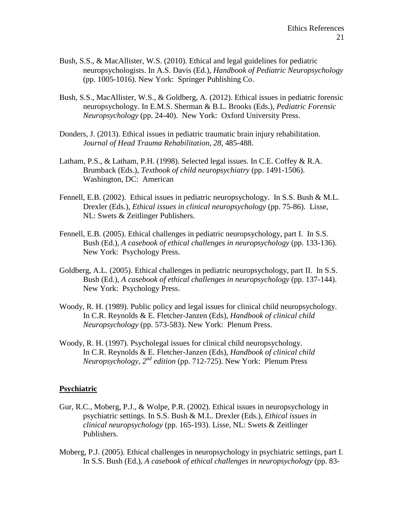- Bush, S.S., & MacAllister, W.S. (2010). Ethical and legal guidelines for pediatric neuropsychologists. In A.S. Davis (Ed.), *Handbook of Pediatric Neuropsychology* (pp. 1005-1016). New York: Springer Publishing Co.
- Bush, S.S., MacAllister, W.S., & Goldberg, A. (2012). Ethical issues in pediatric forensic neuropsychology. In E.M.S. Sherman & B.L. Brooks (Eds.), *Pediatric Forensic Neuropsychology* (pp. 24-40). New York: Oxford University Press.
- Donders, J. (2013). Ethical issues in pediatric traumatic brain injury rehabilitation. *Journal of Head Trauma Rehabilitation, 28,* 485-488.
- Latham, P.S.,  $\&$  Latham, P.H. (1998). Selected legal issues. In C.E. Coffey  $\&$  R.A. Brumback (Eds.), *Textbook of child neuropsychiatry* (pp. 1491-1506). Washington, DC: American
- Fennell, E.B. (2002). Ethical issues in pediatric neuropsychology. In S.S. Bush & M.L. Drexler (Eds.), *Ethical issues in clinical neuropsychology* (pp. 75-86). Lisse, NL: Swets & Zeitlinger Publishers.
- Fennell, E.B. (2005). Ethical challenges in pediatric neuropsychology, part I. In S.S. Bush (Ed.), *A casebook of ethical challenges in neuropsychology* (pp. 133-136). New York: Psychology Press.
- Goldberg, A.L. (2005). Ethical challenges in pediatric neuropsychology, part II. In S.S. Bush (Ed.), *A casebook of ethical challenges in neuropsychology* (pp. 137-144). New York: Psychology Press.
- Woody, R. H. (1989). Public policy and legal issues for clinical child neuropsychology. In C.R. Reynolds & E. Fletcher-Janzen (Eds), *Handbook of clinical child Neuropsychology* (pp. 573-583). New York: Plenum Press.
- Woody, R. H. (1997). Psycholegal issues for clinical child neuropsychology. In C.R. Reynolds & E. Fletcher-Janzen (Eds), *Handbook of clinical child Neuropsychology, 2nd edition* (pp. 712-725). New York: Plenum Press

### **Psychiatric**

- Gur, R.C., Moberg, P.J., & Wolpe, P.R. (2002). Ethical issues in neuropsychology in psychiatric settings. In S.S. Bush & M.L. Drexler (Eds.), *Ethical issues in clinical neuropsychology* (pp. 165-193). Lisse, NL: Swets & Zeitlinger Publishers.
- Moberg, P.J. (2005). Ethical challenges in neuropsychology in psychiatric settings, part I. In S.S. Bush (Ed.), *A casebook of ethical challenges in neuropsychology* (pp. 83-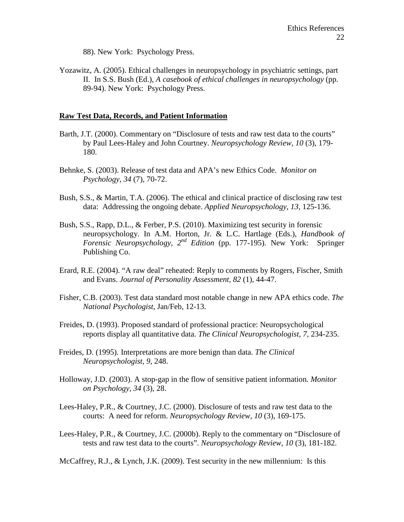88). New York: Psychology Press.

Yozawitz, A. (2005). Ethical challenges in neuropsychology in psychiatric settings, part II. In S.S. Bush (Ed.), *A casebook of ethical challenges in neuropsychology* (pp. 89-94). New York: Psychology Press.

### **Raw Test Data, Records, and Patient Information**

- Barth, J.T. (2000). Commentary on "Disclosure of tests and raw test data to the courts" by Paul Lees-Haley and John Courtney. *Neuropsychology Review, 10* (3), 179- 180.
- Behnke, S. (2003). Release of test data and APA's new Ethics Code. *Monitor on Psychology, 34* (7), 70-72.
- Bush, S.S., & Martin, T.A. (2006). The ethical and clinical practice of disclosing raw test data: Addressing the ongoing debate. *Applied Neuropsychology, 13*, 125-136.
- Bush, S.S., Rapp, D.L., & Ferber, P.S. (2010). Maximizing test security in forensic neuropsychology. In A.M. Horton, Jr. & L.C. Hartlage (Eds.), *Handbook of Forensic Neuropsychology, 2nd Edition* (pp. 177-195). New York: Springer Publishing Co.
- Erard, R.E. (2004). "A raw deal" reheated: Reply to comments by Rogers, Fischer, Smith and Evans. *Journal of Personality Assessment, 82* (1), 44-47.
- Fisher, C.B. (2003). Test data standard most notable change in new APA ethics code. *The National Psychologist*, Jan/Feb, 12-13.
- Freides, D. (1993). Proposed standard of professional practice: Neuropsychological reports display all quantitative data. *The Clinical Neuropsychologist, 7*, 234-235.
- Freides, D. (1995). Interpretations are more benign than data. *The Clinical Neuropsychologist, 9*, 248.
- Holloway, J.D. (2003). A stop-gap in the flow of sensitive patient information. *Monitor on Psychology, 34* (3), 28.
- Lees-Haley, P.R., & Courtney, J.C. (2000). Disclosure of tests and raw test data to the courts: A need for reform. *Neuropsychology Review, 10* (3), 169-175.
- Lees-Haley, P.R., & Courtney, J.C. (2000b). Reply to the commentary on "Disclosure of tests and raw test data to the courts". *Neuropsychology Review, 10* (3), 181-182.

McCaffrey, R.J., & Lynch, J.K. (2009). Test security in the new millennium: Is this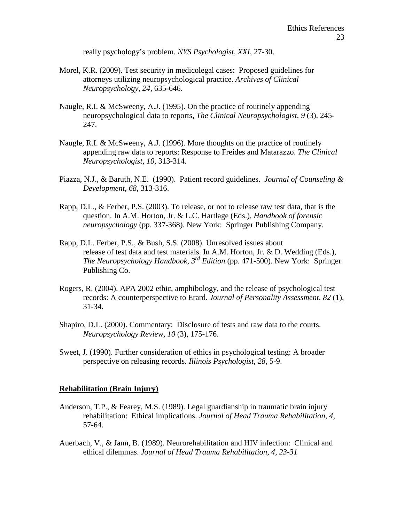really psychology's problem. *NYS Psychologist, XXI*, 27-30.

- Morel, K.R. (2009). Test security in medicolegal cases: Proposed guidelines for attorneys utilizing neuropsychological practice. *Archives of Clinical Neuropsychology, 24*, 635-646.
- Naugle, R.I. & McSweeny, A.J. (1995). On the practice of routinely appending neuropsychological data to reports, *The Clinical Neuropsychologist, 9* (3), 245- 247.
- Naugle, R.I. & McSweeny, A.J. (1996). More thoughts on the practice of routinely appending raw data to reports: Response to Freides and Matarazzo. *The Clinical Neuropsychologist, 10*, 313-314.
- Piazza, N.J., & Baruth, N.E. (1990). Patient record guidelines. *Journal of Counseling & Development, 68*, 313-316.
- Rapp, D.L., & Ferber, P.S. (2003). To release, or not to release raw test data, that is the question. In A.M. Horton, Jr. & L.C. Hartlage (Eds.), *Handbook of forensic neuropsychology* (pp. 337-368). New York: Springer Publishing Company.
- Rapp, D.L. Ferber, P.S., & Bush, S.S. (2008). Unresolved issues about release of test data and test materials. In A.M. Horton, Jr. & D. Wedding (Eds.), *The Neuropsychology Handbook, 3rd Edition* (pp. 471-500). New York: Springer Publishing Co.
- Rogers, R. (2004). APA 2002 ethic, amphibology, and the release of psychological test records: A counterperspective to Erard. *Journal of Personality Assessment, 82* (1), 31-34.
- Shapiro, D.L. (2000). Commentary: Disclosure of tests and raw data to the courts. *Neuropsychology Review, 10* (3), 175-176.
- Sweet, J. (1990). Further consideration of ethics in psychological testing: A broader perspective on releasing records. *Illinois Psychologist, 28*, 5-9.

### **Rehabilitation (Brain Injury)**

- Anderson, T.P., & Fearey, M.S. (1989). Legal guardianship in traumatic brain injury rehabilitation: Ethical implications. *Journal of Head Trauma Rehabilitation, 4,* 57-64.
- Auerbach, V., & Jann, B. (1989). Neurorehabilitation and HIV infection: Clinical and ethical dilemmas. *Journal of Head Trauma Rehabilitation, 4, 23-31*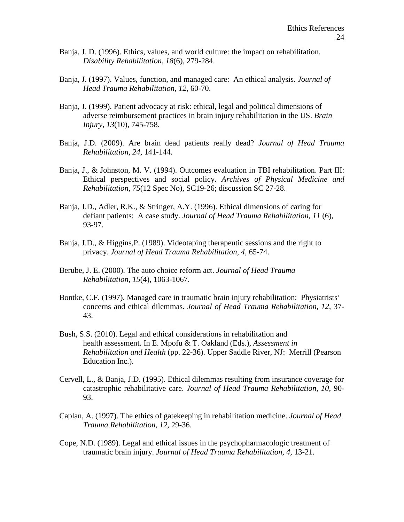- Banja, J. D. (1996). Ethics, values, and world culture: the impact on rehabilitation. *Disability Rehabilitation, 18*(6), 279-284.
- Banja, J. (1997). Values, function, and managed care: An ethical analysis. *Journal of Head Trauma Rehabilitation, 12,* 60-70.
- Banja, J. (1999). Patient advocacy at risk: ethical, legal and political dimensions of adverse reimbursement practices in brain injury rehabilitation in the US. *Brain Injury, 13*(10), 745-758.
- Banja, J.D. (2009). Are brain dead patients really dead? *Journal of Head Trauma Rehabilitation, 24,* 141-144.
- Banja, J., & Johnston, M. V. (1994). Outcomes evaluation in TBI rehabilitation. Part III: Ethical perspectives and social policy. *Archives of Physical Medicine and Rehabilitation, 75*(12 Spec No), SC19-26; discussion SC 27-28.
- Banja, J.D., Adler, R.K., & Stringer, A.Y. (1996). Ethical dimensions of caring for defiant patients: A case study. *Journal of Head Trauma Rehabilitation, 11* (6), 93-97.
- Banja, J.D., & Higgins,P. (1989). Videotaping therapeutic sessions and the right to privacy. *Journal of Head Trauma Rehabilitation, 4,* 65-74.
- Berube, J. E. (2000). The auto choice reform act. *Journal of Head Trauma Rehabilitation*, *15*(4), 1063-1067.
- Bontke, C.F. (1997). Managed care in traumatic brain injury rehabilitation: Physiatrists' concerns and ethical dilemmas. *Journal of Head Trauma Rehabilitation, 12,* 37- 43.
- Bush, S.S. (2010). Legal and ethical considerations in rehabilitation and health assessment. In E. Mpofu & T. Oakland (Eds.), *Assessment in Rehabilitation and Health* (pp. 22-36). Upper Saddle River, NJ: Merrill (Pearson Education Inc.).
- Cervell, L., & Banja, J.D. (1995). Ethical dilemmas resulting from insurance coverage for catastrophic rehabilitative care. *Journal of Head Trauma Rehabilitation, 10,* 90- 93.
- Caplan, A. (1997). The ethics of gatekeeping in rehabilitation medicine. *Journal of Head Trauma Rehabilitation, 12,* 29-36.
- Cope, N.D. (1989). Legal and ethical issues in the psychopharmacologic treatment of traumatic brain injury. *Journal of Head Trauma Rehabilitation, 4,* 13-21.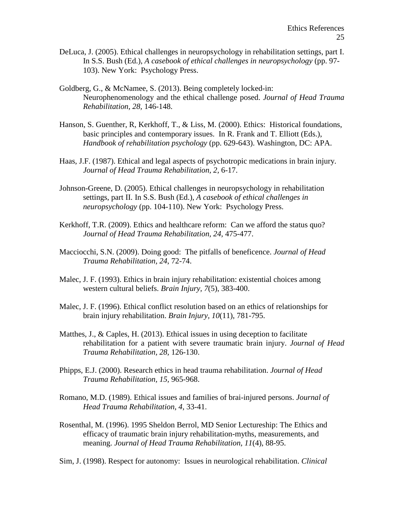- DeLuca, J. (2005). Ethical challenges in neuropsychology in rehabilitation settings, part I. In S.S. Bush (Ed.), *A casebook of ethical challenges in neuropsychology* (pp. 97- 103). New York: Psychology Press.
- Goldberg, G., & McNamee, S. (2013). Being completely locked-in: Neurophenomenology and the ethical challenge posed. *Journal of Head Trauma Rehabilitation, 28,* 146-148.
- Hanson, S. Guenther, R, Kerkhoff, T., & Liss, M. (2000). Ethics: Historical foundations, basic principles and contemporary issues. In R. Frank and T. Elliott (Eds.), *Handbook of rehabilitation psychology* (pp. 629-643). Washington, DC: APA.
- Haas, J.F. (1987). Ethical and legal aspects of psychotropic medications in brain injury. *Journal of Head Trauma Rehabilitation, 2,* 6-17.
- Johnson-Greene, D. (2005). Ethical challenges in neuropsychology in rehabilitation settings, part II. In S.S. Bush (Ed.), *A casebook of ethical challenges in neuropsychology* (pp. 104-110). New York: Psychology Press.
- Kerkhoff, T.R. (2009). Ethics and healthcare reform: Can we afford the status quo? *Journal of Head Trauma Rehabilitation, 24,* 475-477.
- Macciocchi, S.N. (2009). Doing good: The pitfalls of beneficence. *Journal of Head Trauma Rehabilitation, 24*, 72-74.
- Malec, J. F. (1993). Ethics in brain injury rehabilitation: existential choices among western cultural beliefs. *Brain Injury, 7*(5), 383-400.
- Malec, J. F. (1996). Ethical conflict resolution based on an ethics of relationships for brain injury rehabilitation. *Brain Injury, 10*(11), 781-795.
- Matthes, J., & Caples, H. (2013). Ethical issues in using deception to facilitate rehabilitation for a patient with severe traumatic brain injury. *Journal of Head Trauma Rehabilitation, 28,* 126-130.
- Phipps, E.J. (2000). Research ethics in head trauma rehabilitation. *Journal of Head Trauma Rehabilitation, 15,* 965-968.
- Romano, M.D. (1989). Ethical issues and families of brai-injured persons. *Journal of Head Trauma Rehabilitation, 4*, 33-41.
- Rosenthal, M. (1996). 1995 Sheldon Berrol, MD Senior Lectureship: The Ethics and efficacy of traumatic brain injury rehabilitation-myths, measurements, and meaning. *Journal of Head Trauma Rehabilitation, 11*(4), 88-95.
- Sim, J. (1998). Respect for autonomy: Issues in neurological rehabilitation. *Clinical*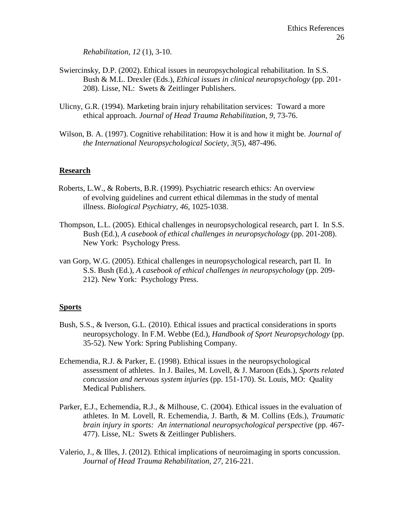*Rehabilitation, 12* (1), 3-10.

- Swiercinsky, D.P. (2002). Ethical issues in neuropsychological rehabilitation. In S.S. Bush & M.L. Drexler (Eds.), *Ethical issues in clinical neuropsychology* (pp. 201- 208). Lisse, NL: Swets & Zeitlinger Publishers.
- Ulicny, G.R. (1994). Marketing brain injury rehabilitation services: Toward a more ethical approach. *Journal of Head Trauma Rehabilitation, 9,* 73-76.
- Wilson, B. A. (1997). Cognitive rehabilitation: How it is and how it might be. *Journal of the International Neuropsychological Society, 3*(5), 487-496.

# **Research**

- Roberts, L.W., & Roberts, B.R. (1999). Psychiatric research ethics: An overview of evolving guidelines and current ethical dilemmas in the study of mental illness. *Biological Psychiatry, 46*, 1025-1038.
- Thompson, L.L. (2005). Ethical challenges in neuropsychological research, part I. In S.S. Bush (Ed.), *A casebook of ethical challenges in neuropsychology* (pp. 201-208). New York: Psychology Press.
- van Gorp, W.G. (2005). Ethical challenges in neuropsychological research, part II. In S.S. Bush (Ed.), *A casebook of ethical challenges in neuropsychology* (pp. 209- 212). New York: Psychology Press.

### **Sports**

- Bush, S.S., & Iverson, G.L. (2010). Ethical issues and practical considerations in sports neuropsychology. In F.M. Webbe (Ed.), *Handbook of Sport Neuropsychology* (pp. 35-52). New York: Spring Publishing Company.
- Echemendia, R.J. & Parker, E. (1998). Ethical issues in the neuropsychological assessment of athletes. In J. Bailes, M. Lovell, & J. Maroon (Eds.), *Sports related concussion and nervous system injuries* (pp. 151-170). St. Louis, MO: Quality Medical Publishers.
- Parker, E.J., Echemendia, R.J., & Milhouse, C. (2004). Ethical issues in the evaluation of athletes. In M. Lovell, R. Echemendia, J. Barth, & M. Collins (Eds.), *Traumatic brain injury in sports: An international neuropsychological perspective* (pp. 467- 477). Lisse, NL: Swets & Zeitlinger Publishers.
- Valerio, J., & Illes, J. (2012). Ethical implications of neuroimaging in sports concussion. *Journal of Head Trauma Rehabilitation, 27,* 216-221.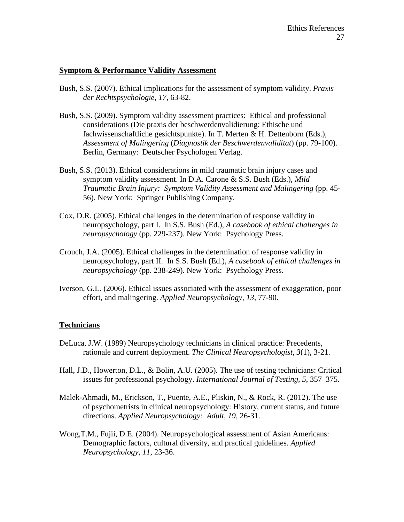# **Symptom & Performance Validity Assessment**

- Bush, S.S. (2007). Ethical implications for the assessment of symptom validity. *Praxis der Rechtspsychologie, 17*, 63-82.
- Bush, S.S. (2009). Symptom validity assessment practices: Ethical and professional considerations (Die praxis der beschwerdenvalidierung: Ethische und fachwissenschaftliche gesichtspunkte). In T. Merten & H. Dettenborn (Eds.), *Assessment of Malingering* (*Diagnostik der Beschwerdenvaliditat*) (pp. 79-100). Berlin, Germany: Deutscher Psychologen Verlag.
- Bush, S.S. (2013). Ethical considerations in mild traumatic brain injury cases and symptom validity assessment. In D.A. Carone & S.S. Bush (Eds.), *Mild Traumatic Brain Injury: Symptom Validity Assessment and Malingering* (pp. 45- 56). New York: Springer Publishing Company.
- Cox, D.R. (2005). Ethical challenges in the determination of response validity in neuropsychology, part I. In S.S. Bush (Ed.), *A casebook of ethical challenges in neuropsychology* (pp. 229-237). New York: Psychology Press.
- Crouch, J.A. (2005). Ethical challenges in the determination of response validity in neuropsychology, part II. In S.S. Bush (Ed.), *A casebook of ethical challenges in neuropsychology* (pp. 238-249). New York: Psychology Press.
- Iverson, G.L. (2006). Ethical issues associated with the assessment of exaggeration, poor effort, and malingering. *Applied Neuropsychology, 13*, 77-90.

# **Technicians**

- DeLuca, J.W. (1989) Neuropsychology technicians in clinical practice: Precedents, rationale and current deployment. *The Clinical Neuropsychologist, 3*(1), 3-21.
- Hall, J.D., Howerton, D.L., & Bolin, A.U. (2005). The use of testing technicians: Critical issues for professional psychology. *International Journal of Testing, 5*, 357–375.
- Malek-Ahmadi, M., Erickson, T., Puente, A.E., Pliskin, N., & Rock, R. (2012). The use of psychometrists in clinical neuropsychology: History, current status, and future directions. *Applied Neuropsychology: Adult, 19*, 26-31.
- Wong,T.M., Fujii, D.E. (2004). Neuropsychological assessment of Asian Americans: Demographic factors, cultural diversity, and practical guidelines. *Applied Neuropsychology, 11*, 23-36.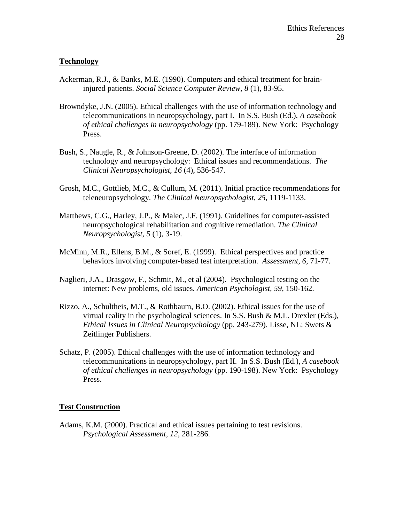# **Technology**

- Ackerman, R.J., & Banks, M.E. (1990). Computers and ethical treatment for braininjured patients. *Social Science Computer Review, 8* (1), 83-95.
- Browndyke, J.N. (2005). Ethical challenges with the use of information technology and telecommunications in neuropsychology, part I. In S.S. Bush (Ed.), *A casebook of ethical challenges in neuropsychology* (pp. 179-189). New York: Psychology Press.
- Bush, S., Naugle, R., & Johnson-Greene, D. (2002). The interface of information technology and neuropsychology: Ethical issues and recommendations. *The Clinical Neuropsychologist, 16* (4), 536-547.
- Grosh, M.C., Gottlieb, M.C., & Cullum, M. (2011). Initial practice recommendations for teleneuropsychology. *The Clinical Neuropsychologist, 25*, 1119-1133.
- Matthews, C.G., Harley, J.P., & Malec, J.F. (1991). Guidelines for computer-assisted neuropsychological rehabilitation and cognitive remediation. *The Clinical Neuropsychologist, 5* (1), 3-19.
- McMinn, M.R., Ellens, B.M., & Soref, E. (1999). Ethical perspectives and practice behaviors involving computer-based test interpretation. *Assessment, 6*, 71-77.
- Naglieri, J.A., Drasgow, F., Schmit, M., et al (2004). Psychological testing on the internet: New problems, old issues. *American Psychologist, 59*, 150-162.
- Rizzo, A., Schultheis, M.T., & Rothbaum, B.O. (2002). Ethical issues for the use of virtual reality in the psychological sciences. In S.S. Bush & M.L. Drexler (Eds.), *Ethical Issues in Clinical Neuropsychology* (pp. 243-279). Lisse, NL: Swets & Zeitlinger Publishers.
- Schatz, P. (2005). Ethical challenges with the use of information technology and telecommunications in neuropsychology, part II. In S.S. Bush (Ed.), *A casebook of ethical challenges in neuropsychology* (pp. 190-198). New York: Psychology Press.

### **Test Construction**

Adams, K.M. (2000). Practical and ethical issues pertaining to test revisions. *Psychological Assessment, 12*, 281-286.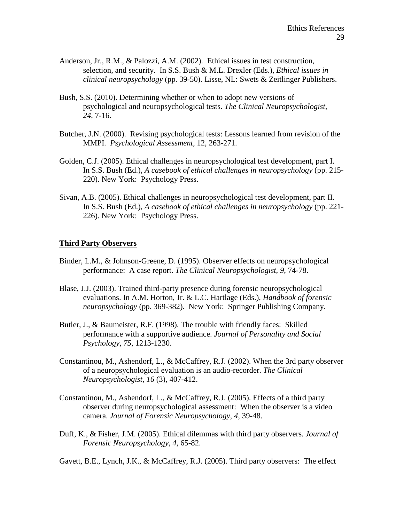- Anderson, Jr., R.M., & Palozzi, A.M. (2002). Ethical issues in test construction, selection, and security. In S.S. Bush & M.L. Drexler (Eds.), *Ethical issues in clinical neuropsychology* (pp. 39-50). Lisse, NL: Swets & Zeitlinger Publishers.
- Bush, S.S. (2010). Determining whether or when to adopt new versions of psychological and neuropsychological tests. *The Clinical Neuropsychologist*, *24*, 7-16.
- Butcher, J.N. (2000). Revising psychological tests: Lessons learned from revision of the MMPI. *Psychological Assessment,* 12, 263-271.
- Golden, C.J. (2005). Ethical challenges in neuropsychological test development, part I. In S.S. Bush (Ed.), *A casebook of ethical challenges in neuropsychology* (pp. 215- 220). New York: Psychology Press.
- Sivan, A.B. (2005). Ethical challenges in neuropsychological test development, part II. In S.S. Bush (Ed.), *A casebook of ethical challenges in neuropsychology* (pp. 221- 226). New York: Psychology Press.

# **Third Party Observers**

- Binder, L.M., & Johnson-Greene, D. (1995). Observer effects on neuropsychological performance: A case report. *The Clinical Neuropsychologist, 9*, 74-78.
- Blase, J.J. (2003). Trained third-party presence during forensic neuropsychological evaluations. In A.M. Horton, Jr. & L.C. Hartlage (Eds.), *Handbook of forensic neuropsychology* (pp. 369-382). New York: Springer Publishing Company.
- Butler, J., & Baumeister, R.F. (1998). The trouble with friendly faces: Skilled performance with a supportive audience. *Journal of Personality and Social Psychology, 75*, 1213-1230.
- Constantinou, M., Ashendorf, L., & McCaffrey, R.J. (2002). When the 3rd party observer of a neuropsychological evaluation is an audio-recorder. *The Clinical Neuropsychologist, 16* (3), 407-412.
- Constantinou, M., Ashendorf, L., & McCaffrey, R.J. (2005). Effects of a third party observer during neuropsychological assessment: When the observer is a video camera. *Journal of Forensic Neuropsychology, 4*, 39-48.
- Duff, K., & Fisher, J.M. (2005). Ethical dilemmas with third party observers. *Journal of Forensic Neuropsychology, 4*, 65-82.

Gavett, B.E., Lynch, J.K., & McCaffrey, R.J. (2005). Third party observers: The effect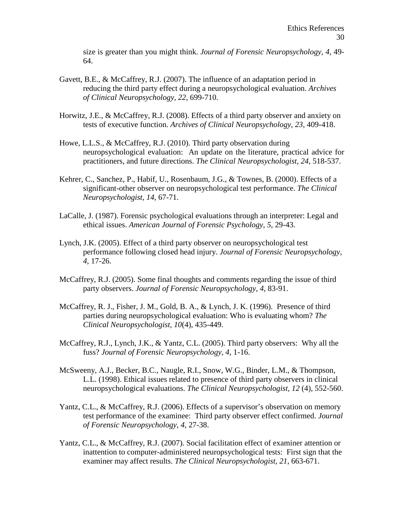size is greater than you might think. *Journal of Forensic Neuropsychology, 4*, 49- 64.

- Gavett, B.E., & McCaffrey, R.J. (2007). The influence of an adaptation period in reducing the third party effect during a neuropsychological evaluation. *Archives of Clinical Neuropsychology, 22,* 699-710.
- Horwitz, J.E., & McCaffrey, R.J. (2008). Effects of a third party observer and anxiety on tests of executive function. *Archives of Clinical Neuropsychology, 23*, 409-418.
- Howe, L.L.S., & McCaffrey, R.J. (2010). Third party observation during neuropsychological evaluation: An update on the literature, practical advice for practitioners, and future directions. *The Clinical Neuropsychologist, 24*, 518-537.
- Kehrer, C., Sanchez, P., Habif, U., Rosenbaum, J.G., & Townes, B. (2000). Effects of a significant-other observer on neuropsychological test performance. *The Clinical Neuropsychologist, 14*, 67-71.
- LaCalle, J. (1987). Forensic psychological evaluations through an interpreter: Legal and ethical issues. *American Journal of Forensic Psychology, 5*, 29-43.
- Lynch, J.K. (2005). Effect of a third party observer on neuropsychological test performance following closed head injury. *Journal of Forensic Neuropsychology, 4*, 17-26.
- McCaffrey, R.J. (2005). Some final thoughts and comments regarding the issue of third party observers. *Journal of Forensic Neuropsychology, 4*, 83-91.
- McCaffrey, R. J., Fisher, J. M., Gold, B. A., & Lynch, J. K. (1996). Presence of third parties during neuropsychological evaluation: Who is evaluating whom? *The Clinical Neuropsychologist, 10*(4), 435-449.
- McCaffrey, R.J., Lynch, J.K., & Yantz, C.L. (2005). Third party observers: Why all the fuss? *Journal of Forensic Neuropsychology, 4*, 1-16.
- McSweeny, A.J., Becker, B.C., Naugle, R.I., Snow, W.G., Binder, L.M., & Thompson, L.L. (1998). Ethical issues related to presence of third party observers in clinical neuropsychological evaluations. *The Clinical Neuropsychologist, 12* (4), 552-560.
- Yantz, C.L., & McCaffrey, R.J. (2006). Effects of a supervisor's observation on memory test performance of the examinee: Third party observer effect confirmed. *Journal of Forensic Neuropsychology, 4*, 27-38.
- Yantz, C.L., & McCaffrey, R.J. (2007). Social facilitation effect of examiner attention or inattention to computer-administered neuropsychological tests: First sign that the examiner may affect results. *The Clinical Neuropsychologist, 21*, 663-671.